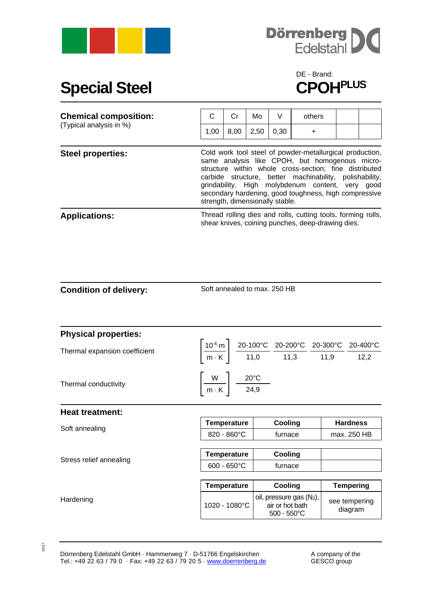



## **Special Steel**

## DE - Brand:<br>**CPOH<sup>PLUS</sup>**

| <b>Chemical composition:</b><br>(Typical analysis in %) | C    | Cr                                                                                                                                                                                                                                                                                                                                                                              | Mo   | V    | others    |  |  |  |
|---------------------------------------------------------|------|---------------------------------------------------------------------------------------------------------------------------------------------------------------------------------------------------------------------------------------------------------------------------------------------------------------------------------------------------------------------------------|------|------|-----------|--|--|--|
|                                                         | 1,00 | 8,00                                                                                                                                                                                                                                                                                                                                                                            | 2,50 | 0,30 | $\ddot{}$ |  |  |  |
| <b>Steel properties:</b>                                |      | Cold work tool steel of powder-metallurgical production,<br>same analysis like CPOH, but homogenous micro-<br>structure within whole cross-section; fine distributed<br>carbide structure, better machinability, polishability,<br>grindability. High molybdenum content, very good<br>secondary hardening, good toughness, high compressive<br>strength, dimensionally stable. |      |      |           |  |  |  |
| <b>Applications:</b>                                    |      | Thread rolling dies and rolls, cutting tools, forming rolls,<br>shear knives, coining punches, deep-drawing dies.                                                                                                                                                                                                                                                               |      |      |           |  |  |  |

Soft annealed to max. 250 HB

| <b>Physical properties:</b>   |                                                            |                                                                                                                                                                                                                 |                          |  |
|-------------------------------|------------------------------------------------------------|-----------------------------------------------------------------------------------------------------------------------------------------------------------------------------------------------------------------|--------------------------|--|
|                               |                                                            | $\left \frac{10^{-6}\text{·m}}{\text{m} \cdot \text{K}}\right  \frac{20-100^{\circ}\text{C}}{11,0} \frac{20-200^{\circ}\text{C}}{11,3} \frac{20-300^{\circ}\text{C}}{11,9} \frac{20-400^{\circ}\text{C}}{12,2}$ |                          |  |
| Thermal expansion coefficient |                                                            |                                                                                                                                                                                                                 |                          |  |
| Thermal conductivity          | $\left \frac{W}{m\cdot K}\right  \frac{20^{\circ}C}{24,9}$ |                                                                                                                                                                                                                 |                          |  |
| <b>Heat treatment:</b>        |                                                            |                                                                                                                                                                                                                 |                          |  |
|                               | <b>Temperature</b>                                         | Cooling                                                                                                                                                                                                         | <b>Hardness</b>          |  |
| Soft annealing                | $820 - 860^{\circ}$ C                                      | furnace                                                                                                                                                                                                         | max. 250 HB              |  |
|                               | <b>Temperature</b>                                         | Cooling                                                                                                                                                                                                         |                          |  |
| Stress relief annealing       | $600 - 650^{\circ}C$                                       | furnace                                                                                                                                                                                                         |                          |  |
|                               |                                                            |                                                                                                                                                                                                                 |                          |  |
|                               | <b>Temperature</b>                                         | Cooling                                                                                                                                                                                                         | <b>Tempering</b>         |  |
| Hardening                     | 1020 - 1080°C                                              | oil, pressure gas $(N_2)$ ,<br>air or hot bath<br>$500 - 550^{\circ}$ C                                                                                                                                         | see tempering<br>diagram |  |